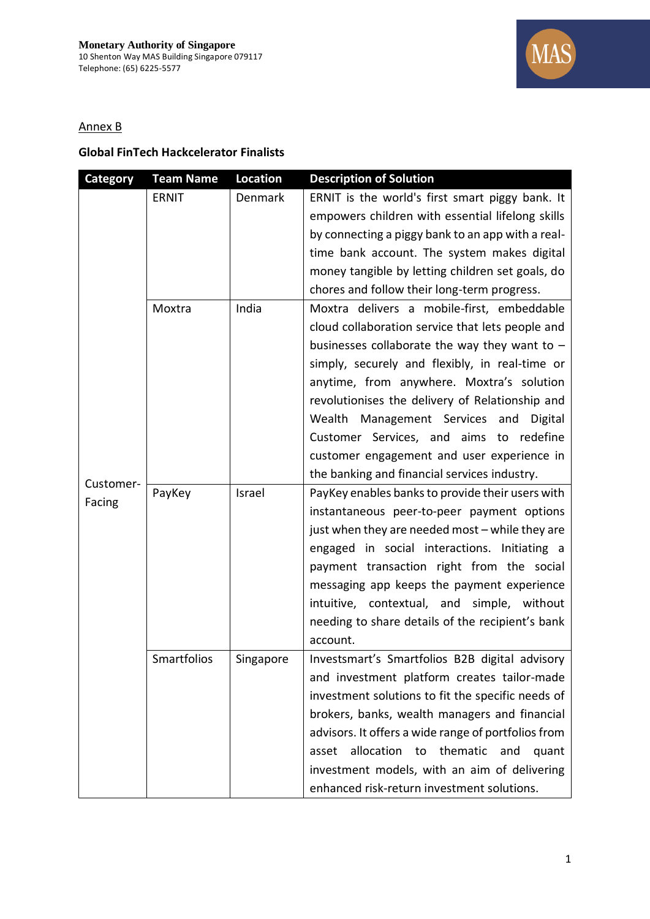

## Annex B

## **Global FinTech Hackcelerator Finalists**

| <b>Category</b> | <b>Team Name</b> | <b>Location</b> | <b>Description of Solution</b>                      |
|-----------------|------------------|-----------------|-----------------------------------------------------|
|                 | <b>ERNIT</b>     | Denmark         | ERNIT is the world's first smart piggy bank. It     |
|                 |                  |                 | empowers children with essential lifelong skills    |
|                 |                  |                 | by connecting a piggy bank to an app with a real-   |
|                 |                  |                 | time bank account. The system makes digital         |
|                 |                  |                 | money tangible by letting children set goals, do    |
|                 |                  |                 | chores and follow their long-term progress.         |
|                 | Moxtra           | India           | Moxtra delivers a mobile-first, embeddable          |
|                 |                  |                 | cloud collaboration service that lets people and    |
|                 |                  |                 | businesses collaborate the way they want to $-$     |
|                 |                  |                 | simply, securely and flexibly, in real-time or      |
|                 |                  |                 | anytime, from anywhere. Moxtra's solution           |
|                 |                  |                 | revolutionises the delivery of Relationship and     |
|                 |                  |                 | Wealth Management Services and<br>Digital           |
|                 |                  |                 | Customer Services, and aims to redefine             |
|                 |                  |                 | customer engagement and user experience in          |
| Customer-       |                  |                 | the banking and financial services industry.        |
| Facing          | PayKey           | Israel          | PayKey enables banks to provide their users with    |
|                 |                  |                 | instantaneous peer-to-peer payment options          |
|                 |                  |                 | just when they are needed most - while they are     |
|                 |                  |                 | engaged in social interactions. Initiating a        |
|                 |                  |                 | payment transaction right from the social           |
|                 |                  |                 | messaging app keeps the payment experience          |
|                 |                  |                 | intuitive, contextual, and simple, without          |
|                 |                  |                 | needing to share details of the recipient's bank    |
|                 |                  |                 | account.                                            |
|                 | Smartfolios      | Singapore       | Investsmart's Smartfolios B2B digital advisory      |
|                 |                  |                 | and investment platform creates tailor-made         |
|                 |                  |                 | investment solutions to fit the specific needs of   |
|                 |                  |                 | brokers, banks, wealth managers and financial       |
|                 |                  |                 | advisors. It offers a wide range of portfolios from |
|                 |                  |                 | allocation to<br>thematic<br>and<br>asset<br>quant  |
|                 |                  |                 | investment models, with an aim of delivering        |
|                 |                  |                 | enhanced risk-return investment solutions.          |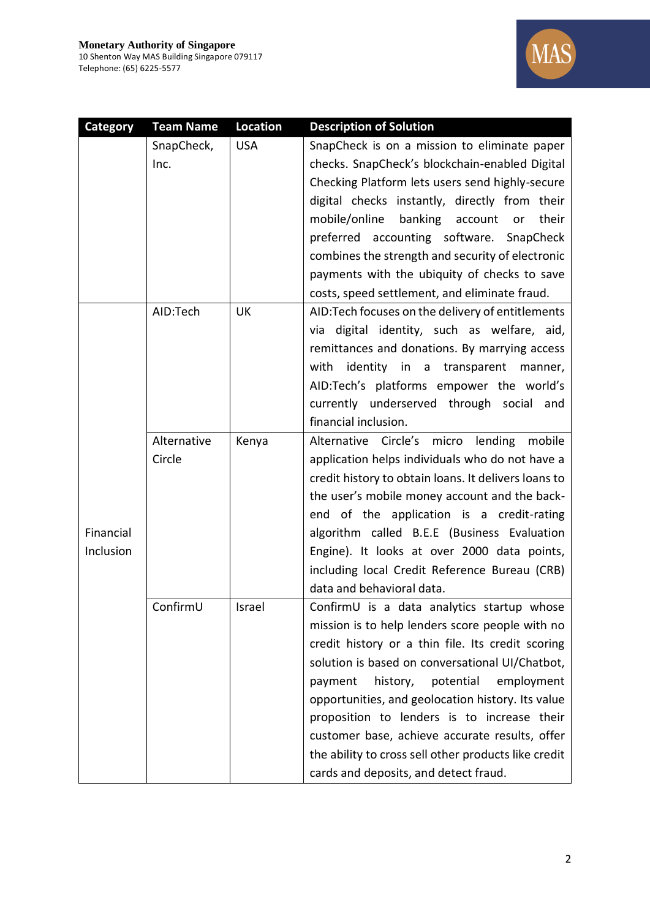

| <b>Category</b> | <b>Team Name</b> | <b>Location</b> | <b>Description of Solution</b>                       |
|-----------------|------------------|-----------------|------------------------------------------------------|
|                 | SnapCheck,       | <b>USA</b>      | SnapCheck is on a mission to eliminate paper         |
|                 | Inc.             |                 | checks. SnapCheck's blockchain-enabled Digital       |
|                 |                  |                 | Checking Platform lets users send highly-secure      |
|                 |                  |                 | digital checks instantly, directly from their        |
|                 |                  |                 | mobile/online<br>banking account<br>their<br>or      |
|                 |                  |                 | preferred accounting software. SnapCheck             |
|                 |                  |                 | combines the strength and security of electronic     |
|                 |                  |                 | payments with the ubiquity of checks to save         |
|                 |                  |                 | costs, speed settlement, and eliminate fraud.        |
|                 | AID:Tech         | UK              | AID: Tech focuses on the delivery of entitlements    |
|                 |                  |                 | via digital identity, such as welfare, aid,          |
|                 |                  |                 | remittances and donations. By marrying access        |
|                 |                  |                 | with<br>identity in a transparent manner,            |
|                 |                  |                 | AID:Tech's platforms empower the world's             |
|                 |                  |                 | currently underserved through social<br>and          |
|                 |                  |                 | financial inclusion.                                 |
|                 | Alternative      | Kenya           | Alternative Circle's micro lending mobile            |
|                 | Circle           |                 | application helps individuals who do not have a      |
|                 |                  |                 | credit history to obtain loans. It delivers loans to |
|                 |                  |                 | the user's mobile money account and the back-        |
|                 |                  |                 | end of the application is a credit-rating            |
| Financial       |                  |                 | algorithm called B.E.E (Business Evaluation          |
| Inclusion       |                  |                 | Engine). It looks at over 2000 data points,          |
|                 |                  |                 | including local Credit Reference Bureau (CRB)        |
|                 |                  |                 | data and behavioral data.                            |
|                 | ConfirmU         | Israel          | ConfirmU is a data analytics startup whose           |
|                 |                  |                 | mission is to help lenders score people with no      |
|                 |                  |                 | credit history or a thin file. Its credit scoring    |
|                 |                  |                 | solution is based on conversational UI/Chatbot,      |
|                 |                  |                 | history,<br>potential<br>employment<br>payment       |
|                 |                  |                 | opportunities, and geolocation history. Its value    |
|                 |                  |                 | proposition to lenders is to increase their          |
|                 |                  |                 | customer base, achieve accurate results, offer       |
|                 |                  |                 | the ability to cross sell other products like credit |
|                 |                  |                 | cards and deposits, and detect fraud.                |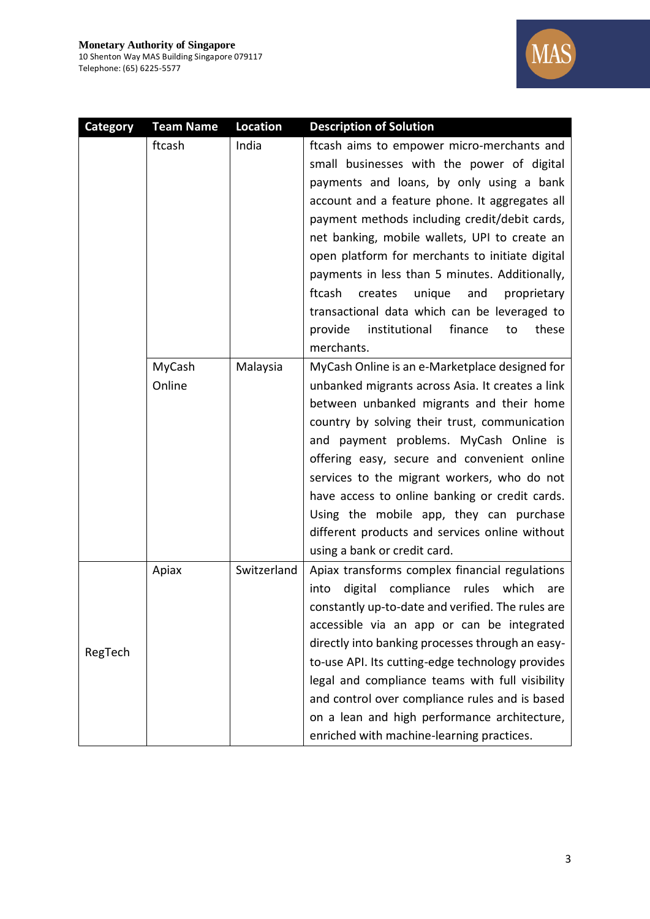

| <b>Category</b> | <b>Team Name</b> | <b>Location</b> | <b>Description of Solution</b>                     |
|-----------------|------------------|-----------------|----------------------------------------------------|
|                 | ftcash           | India           | ftcash aims to empower micro-merchants and         |
|                 |                  |                 | small businesses with the power of digital         |
|                 |                  |                 | payments and loans, by only using a bank           |
|                 |                  |                 | account and a feature phone. It aggregates all     |
|                 |                  |                 | payment methods including credit/debit cards,      |
|                 |                  |                 | net banking, mobile wallets, UPI to create an      |
|                 |                  |                 | open platform for merchants to initiate digital    |
|                 |                  |                 | payments in less than 5 minutes. Additionally,     |
|                 |                  |                 | ftcash<br>creates<br>unique<br>and<br>proprietary  |
|                 |                  |                 | transactional data which can be leveraged to       |
|                 |                  |                 | institutional<br>provide<br>finance<br>these<br>to |
|                 |                  |                 | merchants.                                         |
|                 | MyCash           | Malaysia        | MyCash Online is an e-Marketplace designed for     |
|                 | Online           |                 | unbanked migrants across Asia. It creates a link   |
|                 |                  |                 | between unbanked migrants and their home           |
|                 |                  |                 | country by solving their trust, communication      |
|                 |                  |                 | and payment problems. MyCash Online is             |
|                 |                  |                 | offering easy, secure and convenient online        |
|                 |                  |                 | services to the migrant workers, who do not        |
|                 |                  |                 | have access to online banking or credit cards.     |
|                 |                  |                 | Using the mobile app, they can purchase            |
|                 |                  |                 | different products and services online without     |
|                 |                  |                 | using a bank or credit card.                       |
|                 | Apiax            | Switzerland     | Apiax transforms complex financial regulations     |
|                 |                  |                 | digital compliance<br>rules which<br>into<br>are   |
|                 |                  |                 | constantly up-to-date and verified. The rules are  |
|                 |                  |                 | accessible via an app or can be integrated         |
| RegTech         |                  |                 | directly into banking processes through an easy-   |
|                 |                  |                 | to-use API. Its cutting-edge technology provides   |
|                 |                  |                 | legal and compliance teams with full visibility    |
|                 |                  |                 | and control over compliance rules and is based     |
|                 |                  |                 | on a lean and high performance architecture,       |
|                 |                  |                 | enriched with machine-learning practices.          |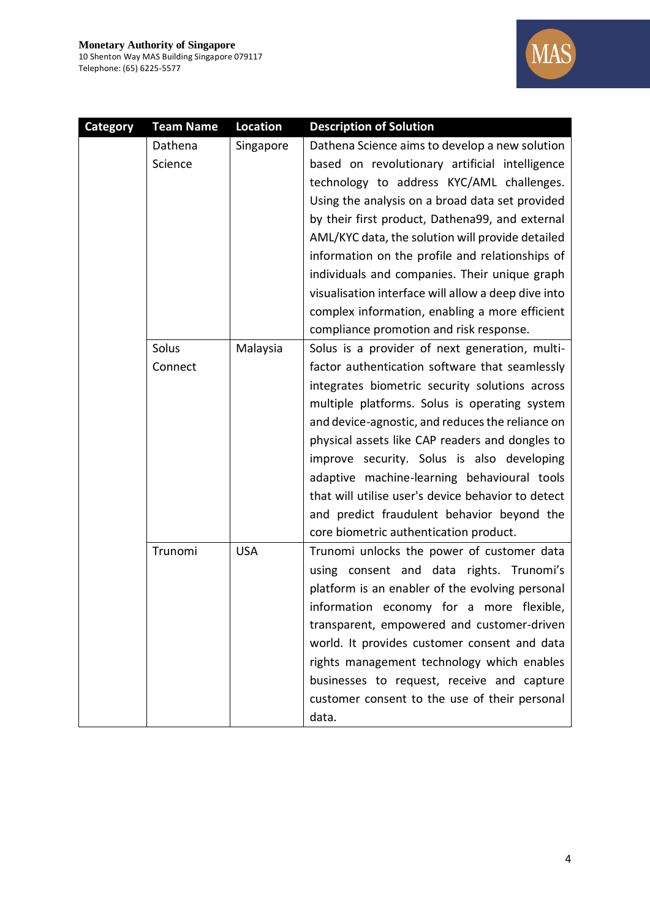

| <b>Category</b> | <b>Team Name</b> | Location   | <b>Description of Solution</b>                      |
|-----------------|------------------|------------|-----------------------------------------------------|
|                 | Dathena          | Singapore  | Dathena Science aims to develop a new solution      |
|                 | Science          |            | based on revolutionary artificial intelligence      |
|                 |                  |            | technology to address KYC/AML challenges.           |
|                 |                  |            | Using the analysis on a broad data set provided     |
|                 |                  |            | by their first product, Dathena99, and external     |
|                 |                  |            | AML/KYC data, the solution will provide detailed    |
|                 |                  |            | information on the profile and relationships of     |
|                 |                  |            | individuals and companies. Their unique graph       |
|                 |                  |            | visualisation interface will allow a deep dive into |
|                 |                  |            | complex information, enabling a more efficient      |
|                 |                  |            | compliance promotion and risk response.             |
|                 | Solus            | Malaysia   | Solus is a provider of next generation, multi-      |
|                 | Connect          |            | factor authentication software that seamlessly      |
|                 |                  |            | integrates biometric security solutions across      |
|                 |                  |            | multiple platforms. Solus is operating system       |
|                 |                  |            | and device-agnostic, and reduces the reliance on    |
|                 |                  |            | physical assets like CAP readers and dongles to     |
|                 |                  |            | improve security. Solus is also developing          |
|                 |                  |            | adaptive machine-learning behavioural tools         |
|                 |                  |            | that will utilise user's device behavior to detect  |
|                 |                  |            | and predict fraudulent behavior beyond the          |
|                 |                  |            | core biometric authentication product.              |
|                 | Trunomi          | <b>USA</b> | Trunomi unlocks the power of customer data          |
|                 |                  |            | using consent and data rights. Trunomi's            |
|                 |                  |            | platform is an enabler of the evolving personal     |
|                 |                  |            | information economy for a more flexible,            |
|                 |                  |            | transparent, empowered and customer-driven          |
|                 |                  |            | world. It provides customer consent and data        |
|                 |                  |            | rights management technology which enables          |
|                 |                  |            | businesses to request, receive and capture          |
|                 |                  |            | customer consent to the use of their personal       |
|                 |                  |            | data.                                               |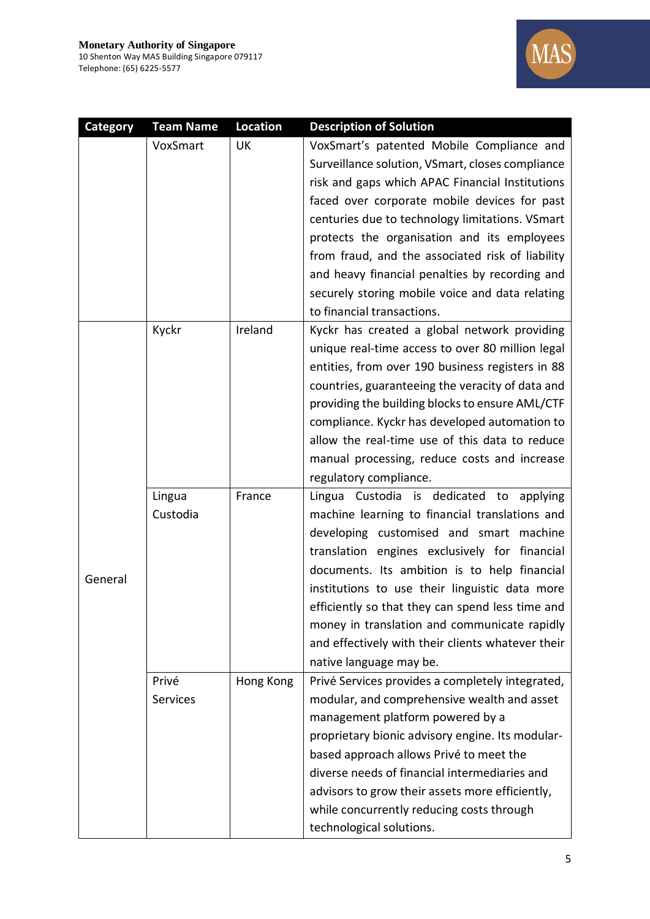

| <b>Category</b> | <b>Team Name</b> | <b>Location</b> | <b>Description of Solution</b>                    |
|-----------------|------------------|-----------------|---------------------------------------------------|
|                 | VoxSmart         | UK              | VoxSmart's patented Mobile Compliance and         |
|                 |                  |                 | Surveillance solution, VSmart, closes compliance  |
|                 |                  |                 | risk and gaps which APAC Financial Institutions   |
|                 |                  |                 | faced over corporate mobile devices for past      |
|                 |                  |                 | centuries due to technology limitations. VSmart   |
|                 |                  |                 | protects the organisation and its employees       |
|                 |                  |                 | from fraud, and the associated risk of liability  |
|                 |                  |                 | and heavy financial penalties by recording and    |
|                 |                  |                 | securely storing mobile voice and data relating   |
|                 |                  |                 | to financial transactions.                        |
|                 | Kyckr            | Ireland         | Kyckr has created a global network providing      |
|                 |                  |                 | unique real-time access to over 80 million legal  |
|                 |                  |                 | entities, from over 190 business registers in 88  |
|                 |                  |                 | countries, guaranteeing the veracity of data and  |
|                 |                  |                 | providing the building blocks to ensure AML/CTF   |
|                 |                  |                 | compliance. Kyckr has developed automation to     |
|                 |                  |                 | allow the real-time use of this data to reduce    |
|                 |                  |                 | manual processing, reduce costs and increase      |
|                 |                  |                 | regulatory compliance.                            |
|                 | Lingua           | France          | Lingua Custodia is dedicated to applying          |
|                 | Custodia         |                 | machine learning to financial translations and    |
|                 |                  |                 | developing customised and smart machine           |
|                 |                  |                 | translation engines exclusively for financial     |
| General         |                  |                 | documents. Its ambition is to help financial      |
|                 |                  |                 | institutions to use their linguistic data more    |
|                 |                  |                 | efficiently so that they can spend less time and  |
|                 |                  |                 | money in translation and communicate rapidly      |
|                 |                  |                 | and effectively with their clients whatever their |
|                 |                  |                 | native language may be.                           |
|                 | Privé            | Hong Kong       | Privé Services provides a completely integrated,  |
|                 | Services         |                 | modular, and comprehensive wealth and asset       |
|                 |                  |                 | management platform powered by a                  |
|                 |                  |                 | proprietary bionic advisory engine. Its modular-  |
|                 |                  |                 | based approach allows Privé to meet the           |
|                 |                  |                 | diverse needs of financial intermediaries and     |
|                 |                  |                 | advisors to grow their assets more efficiently,   |
|                 |                  |                 | while concurrently reducing costs through         |
|                 |                  |                 | technological solutions.                          |